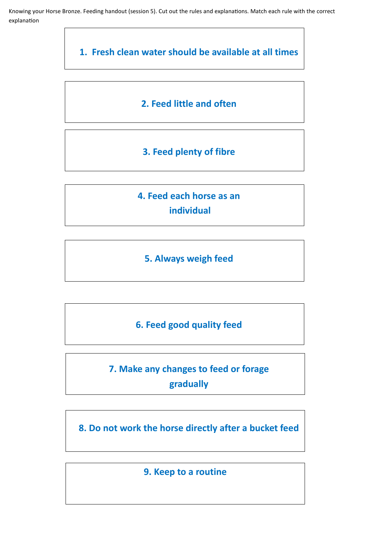Knowing your Horse Bronze. Feeding handout (session 5). Cut out the rules and explanations. Match each rule with the correct explanation

**1. Fresh clean water should be available at all times**

### **2. Feed little and often**

### **3. Feed plenty of fibre**

**4. Feed each horse as an individual**

## **5. Always weigh feed**

**6. Feed good quality feed**

# **7. Make any changes to feed or forage gradually**

**8. Do not work the horse directly after a bucket feed**

**9. Keep to a routine**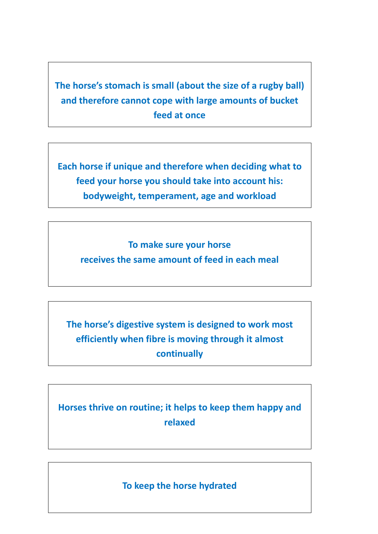# **The horse's stomach is small (about the size of a rugby ball) and therefore cannot cope with large amounts of bucket feed at once**

**Each horse if unique and therefore when deciding what to feed your horse you should take into account his: bodyweight, temperament, age and workload**

**To make sure your horse**

**receives the same amount of feed in each meal**

**The horse's digestive system is designed to work most efficiently when fibre is moving through it almost continually**

**Horses thrive on routine; it helps to keep them happy and relaxed**

**To keep the horse hydrated**